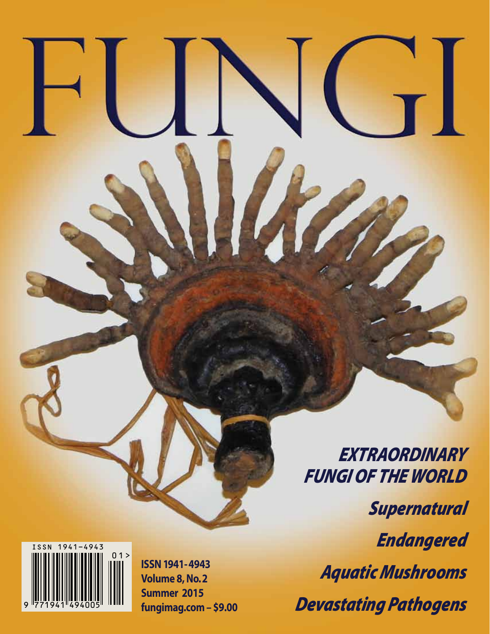

EXTRAORDINARY **FUNGI OF THE WORLD Supernatural Endangered Aquatic Mushrooms Devastating Pathogens** 

 $\mathsf{r}$ 



**ISSN 1941-4943 Volume 8, No. 2** Summer 2015 fungimag.com - \$9.00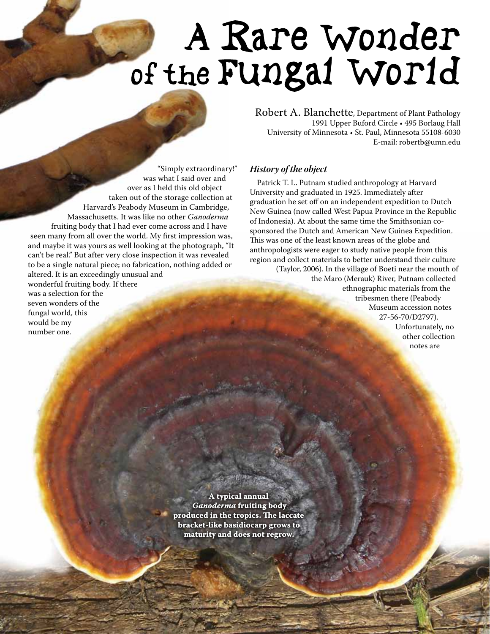# A Rare Wonder of the Fungal World

"Simply extraordinary!" was what I said over and over as I held this old object taken out of the storage collection at Harvard's Peabody Museum in Cambridge, Massachusetts. It was like no other *Ganoderma* fruiting body that I had ever come across and I have seen many from all over the world. My first impression was, and maybe it was yours as well looking at the photograph, "It can't be real." But after very close inspection it was revealed to be a single natural piece; no fabrication, nothing added or altered. It is an exceedingly unusual and wonderful fruiting body. If there was a selection for the

seven wonders of the fungal world, this would be my number one.

Robert A. Blanchette, Department of Plant Pathology 1991 Upper Buford Circle • 495 Borlaug Hall University of Minnesota • St. Paul, Minnesota 55108-6030 E-mail: robertb@umn.edu

### *History of the object*

Patrick T. L. Putnam studied anthropology at Harvard University and graduated in 1925. Immediately after graduation he set off on an independent expedition to Dutch New Guinea (now called West Papua Province in the Republic of Indonesia). At about the same time the Smithsonian cosponsored the Dutch and American New Guinea Expedition. This was one of the least known areas of the globe and anthropologists were eager to study native people from this region and collect materials to better understand their culture

(Taylor, 2006). In the village of Boeti near the mouth of the Maro (Merauk) River, Putnam collected ethnographic materials from the tribesmen there (Peabody Museum accession notes 27-56-70/D2797). Unfortunately, no

other collection notes are

**A typical annual**  *Ganoderma* **fruiting body produced in the tropics. The laccate bracket-like basidiocarp grows to maturity and does not regrow.**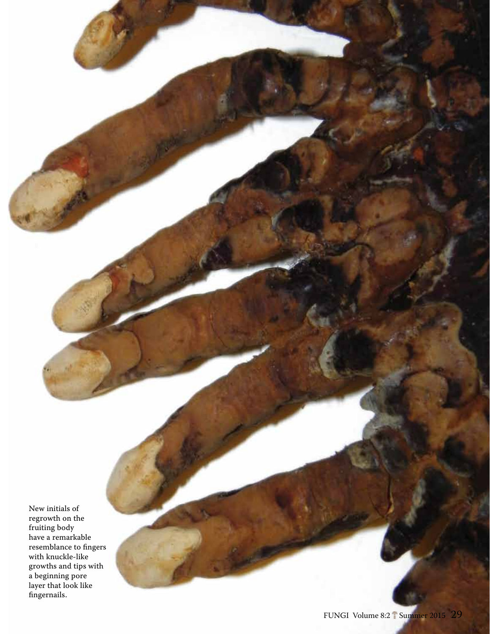New initials of regrowth on the fruiting body have a remarkable resemblance to fingers with knuckle-like growths and tips with a beginning pore layer that look like fingernails.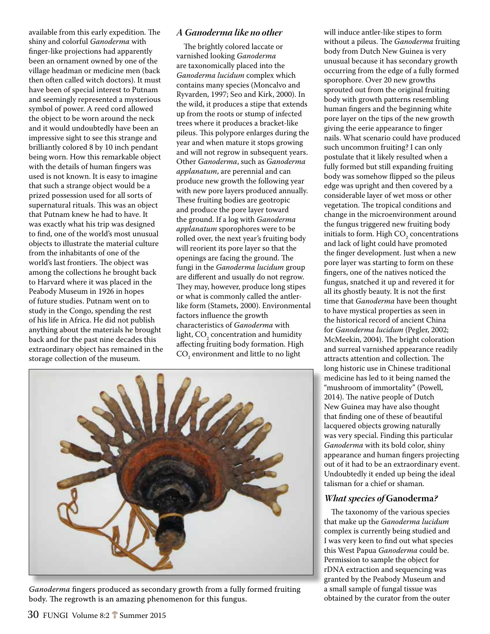available from this early expedition. The shiny and colorful *Ganoderma* with finger-like projections had apparently been an ornament owned by one of the village headman or medicine men (back then often called witch doctors). It must have been of special interest to Putnam and seemingly represented a mysterious symbol of power. A reed cord allowed the object to be worn around the neck and it would undoubtedly have been an impressive sight to see this strange and brilliantly colored 8 by 10 inch pendant being worn. How this remarkable object with the details of human fingers was used is not known. It is easy to imagine that such a strange object would be a prized possession used for all sorts of supernatural rituals. This was an object that Putnam knew he had to have. It was exactly what his trip was designed to find, one of the world's most unusual objects to illustrate the material culture from the inhabitants of one of the world's last frontiers. The object was among the collections he brought back to Harvard where it was placed in the Peabody Museum in 1926 in hopes of future studies. Putnam went on to study in the Congo, spending the rest of his life in Africa. He did not publish anything about the materials he brought back and for the past nine decades this extraordinary object has remained in the storage collection of the museum.

## *A Ganoderma like no other*

The brightly colored laccate or varnished looking *Ganoderma* are taxonomically placed into the *Ganoderma lucidum* complex which contains many species (Moncalvo and Ryvarden, 1997; Seo and Kirk, 2000). In the wild, it produces a stipe that extends up from the roots or stump of infected trees where it produces a bracket-like pileus. This polypore enlarges during the year and when mature it stops growing and will not regrow in subsequent years. Other *Ganoderma*, such as *Ganoderma applanatum*, are perennial and can produce new growth the following year with new pore layers produced annually. These fruiting bodies are geotropic and produce the pore layer toward the ground. If a log with *Ganoderma applanatum* sporophores were to be rolled over, the next year's fruiting body will reorient its pore layer so that the openings are facing the ground. The fungi in the *Ganoderma lucidum* group are different and usually do not regrow. They may, however, produce long stipes or what is commonly called the antlerlike form (Stamets, 2000). Environmental factors influence the growth characteristics of *Ganoderma* with light,  $\mathrm{CO}_2$  concentration and humidity affecting fruiting body formation. High  $\mathrm{CO}_2$  environment and little to no light



*Ganoderma* fingers produced as secondary growth from a fully formed fruiting body. The regrowth is an amazing phenomenon for this fungus.

will induce antler-like stipes to form without a pileus. The *Ganoderma* fruiting body from Dutch New Guinea is very unusual because it has secondary growth occurring from the edge of a fully formed sporophore. Over 20 new growths sprouted out from the original fruiting body with growth patterns resembling human fingers and the beginning white pore layer on the tips of the new growth giving the eerie appearance to finger nails. What scenario could have produced such uncommon fruiting? I can only postulate that it likely resulted when a fully formed but still expanding fruiting body was somehow flipped so the pileus edge was upright and then covered by a considerable layer of wet moss or other vegetation. The tropical conditions and change in the microenvironment around the fungus triggered new fruiting body initials to form. High  $\mathrm{CO}_2$  concentrations and lack of light could have promoted the finger development. Just when a new pore layer was starting to form on these fingers, one of the natives noticed the fungus, snatched it up and revered it for all its ghostly beauty. It is not the first time that *Ganoderma* have been thought to have mystical properties as seen in the historical record of ancient China for *Ganoderma lucidum* (Pegler, 2002; McMeekin, 2004). The bright coloration and surreal varnished appearance readily attracts attention and collection. The long historic use in Chinese traditional medicine has led to it being named the "mushroom of immortality" (Powell, 2014). The native people of Dutch New Guinea may have also thought that finding one of these of beautiful lacquered objects growing naturally was very special. Finding this particular *Ganoderma* with its bold color, shiny appearance and human fingers projecting out of it had to be an extraordinary event. Undoubtedly it ended up being the ideal talisman for a chief or shaman.

### *What species of* **Ganoderma***?*

The taxonomy of the various species that make up the *Ganoderma lucidum* complex is currently being studied and I was very keen to find out what species this West Papua *Ganoderma* could be. Permission to sample the object for rDNA extraction and sequencing was granted by the Peabody Museum and a small sample of fungal tissue was obtained by the curator from the outer